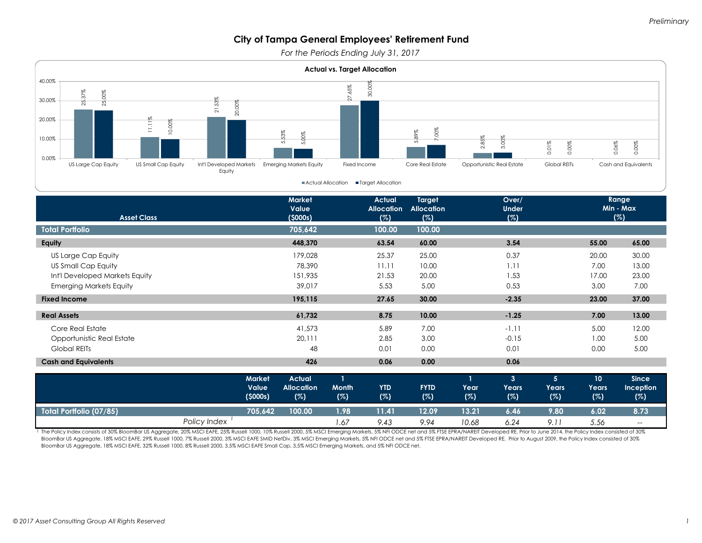*For the Periods Ending July 31, 2017*



| <b>Fixed Income</b>         |              |                                   | 195.115                                   |                     | 27.65             | 30.00              |             | $-2.35$           |                   | 23.00              | 37.00                                   |
|-----------------------------|--------------|-----------------------------------|-------------------------------------------|---------------------|-------------------|--------------------|-------------|-------------------|-------------------|--------------------|-----------------------------------------|
| <b>Real Assets</b>          |              |                                   | 61,732                                    |                     | 8.75              | 10.00              |             | $-1.25$           |                   | 7.00               | 13.00                                   |
| Core Real Estate            |              |                                   | 41,573                                    |                     | 5.89              | 7.00               |             | $-1.11$           |                   | 5.00               | 12.00                                   |
| Opportunistic Real Estate   |              |                                   | 20,111                                    |                     | 2.85              | 3.00               |             | $-0.15$           |                   | 1.00               | 5.00                                    |
| <b>Global REITs</b>         |              |                                   | 48                                        |                     | 0.01              | 0.00               |             | 0.01              |                   | 0.00               | 5.00                                    |
| <b>Cash and Equivalents</b> |              |                                   | 426                                       |                     | 0.06              | 0.00               |             | 0.06              |                   |                    |                                         |
|                             |              | <b>Market</b><br>Value<br>(5000s) | <b>Actual</b><br><b>Allocation</b><br>(%) | <b>Month</b><br>(%) | <b>YTD</b><br>(%) | <b>FYTD</b><br>(%) | Year<br>(%) | 3<br>Years<br>(%) | 5<br>Years<br>(%) | 10<br>Years<br>(%) | <b>Since</b><br><b>Inception</b><br>(%) |
| Total Portfolio (07/85)     |              | 705,642                           | 100.00                                    | 1.98                | 11.41             | 12.09              | 13.21       | 6.46              | 9.80              | 6.02               | 8.73                                    |
|                             | Policy Index |                                   |                                           | 1.67                | 9.43              | 9.94               | 10.68       | 6.24              | 9.11              | 5.56               | $- -$                                   |

The Policy Index consists of 30% BloomBar US Aggregate, 20% MSCI EAFE, 25% Russell 1000, 10% Russell 2000, 5% MSCI Emerging Markets, 5% NFI ODCE net and 5% FTSE EPRA/NAREIT Developed RE. Prior to June 2014, the Policy Inde BloomBar US Aggregate, 18% MSCI EAFE, 29% Russell 1000, 7% Russell 2000, 3% MSCI EAFE SMID NetDiv, 3% MSCI Emerging Markets, 5% NFI ODCE net and 5% FTSE EPRA/NAREIT Developed RE. Prior to August 2009, the Policy Index cons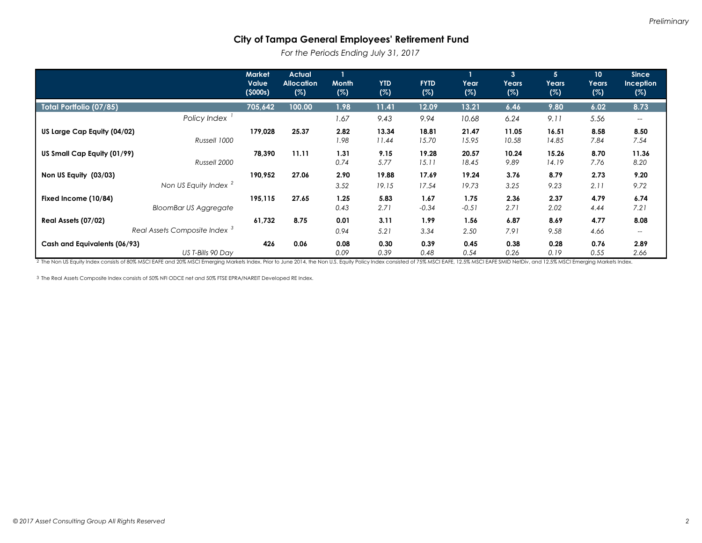*For the Periods Ending July 31, 2017*

|                                                           | <b>Market</b><br>Value<br>(5000s) | <b>Actual</b><br><b>Allocation</b><br>(%) | $\mathbf{1}$<br><b>Month</b><br>(%) | <b>YTD</b><br>(%) | <b>FYTD</b><br>(%) | Year<br>(%)     | $\mathbf{3}$<br>Years<br>(%) | 5 <sup>1</sup><br>Years<br>(%) | 10 <sup>°</sup><br>Years<br>(%) | <b>Since</b><br><b>Inception</b><br>(%) |
|-----------------------------------------------------------|-----------------------------------|-------------------------------------------|-------------------------------------|-------------------|--------------------|-----------------|------------------------------|--------------------------------|---------------------------------|-----------------------------------------|
| Total Portfolio (07/85)                                   | 705,642                           | 100.00                                    | 1.98                                | 11.41             | 12.09              | 13.21           | 6.46                         | 9.80                           | 6.02                            | 8.73                                    |
| Policy Index                                              |                                   |                                           | 1.67                                | 9.43              | 9.94               | 10.68           | 6.24                         | 9.11                           | 5.56                            | $--$                                    |
| US Large Cap Equity (04/02)<br>Russell 1000               | 179,028                           | 25.37                                     | 2.82<br>1.98                        | 13.34<br>11.44    | 18.81<br>15.70     | 21.47<br>15.95  | 11.05<br>10.58               | 16.51<br>14.85                 | 8.58<br>7.84                    | 8.50<br>7.54                            |
| US Small Cap Equity (01/99)<br>Russell 2000               | 78,390                            | 11.11                                     | 1.31<br>0.74                        | 9.15<br>5.77      | 19.28<br>15.11     | 20.57<br>18.45  | 10.24<br>9.89                | 15.26<br>14.19                 | 8.70<br>7.76                    | 11.36<br>8.20                           |
| Non US Equity (03/03)<br>Non US Equity Index <sup>2</sup> | 190,952                           | 27.06                                     | 2.90<br>3.52                        | 19.88<br>19.15    | 17.69<br>17.54     | 19.24<br>19.73  | 3.76<br>3.25                 | 8.79<br>9.23                   | 2.73<br>2.11                    | 9.20<br>9.72                            |
| Fixed Income (10/84)<br><b>BloomBar US Aggregate</b>      | 195,115                           | 27.65                                     | 1.25<br>0.43                        | 5.83<br>2.71      | 1.67<br>$-0.34$    | 1.75<br>$-0.51$ | 2.36<br>2.71                 | 2.37<br>2.02                   | 4.79<br>4.44                    | 6.74<br>7.21                            |
| Real Assets (07/02)                                       | 61,732                            | 8.75                                      | 0.01                                | 3.11              | 1.99               | 1.56            | 6.87                         | 8.69                           | 4.77                            | 8.08                                    |
| Real Assets Composite Index <sup>3</sup>                  |                                   |                                           | 0.94                                | 5.21              | 3.34               | 2.50            | 7.91                         | 9.58                           | 4.66                            | $--$                                    |
| Cash and Equivalents (06/93)<br>US T-Bills 90 Day         | 426                               | 0.06                                      | 0.08<br>0.09                        | 0.30<br>0.39      | 0.39<br>0.48       | 0.45<br>0.54    | 0.38<br>0.26                 | 0.28<br>0.19                   | 0.76<br>0.55                    | 2.89<br>2.66                            |

2 The Non US Equity Index consists of 80% MSCI EAFE and 20% MSCI Emerging Markets Index. Prior to June 2014, the Non U.S. Equity Policy Index consisted of 75% MSCI EAFE, 12.5% MSCI EAFE SMID NetDiv, and 12.5% MSCI Emerging

3 The Real Assets Composite Index consists of 50% NFI ODCE net and 50% FTSE EPRA/NAREIT Developed RE Index.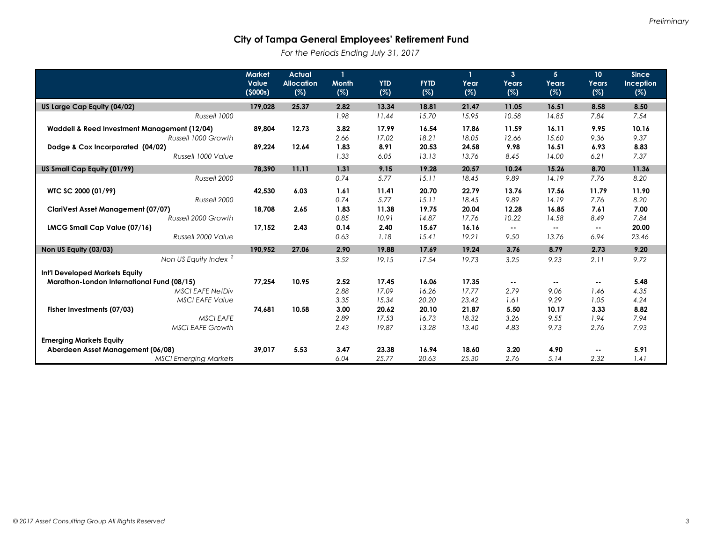*For the Periods Ending July 31, 2017*

|                                              | <b>Market</b><br>Value | <b>Actual</b>            | $\mathbf{1}$        | <b>YTD</b> |                    |             | $\overline{3}$ | 5             | 10           | <b>Since</b>            |
|----------------------------------------------|------------------------|--------------------------|---------------------|------------|--------------------|-------------|----------------|---------------|--------------|-------------------------|
|                                              | (5000s)                | <b>Allocation</b><br>(%) | <b>Month</b><br>(%) | (%)        | <b>FYTD</b><br>(%) | Year<br>(%) | Years<br>(%)   | Years<br>(%)  | Years<br>(%) | <b>Inception</b><br>(%) |
| US Large Cap Equity (04/02)                  | 179,028                | 25.37                    | 2.82                | 13.34      | 18.81              | 21.47       | 11.05          | 16.51         | 8.58         | 8.50                    |
| Russell 1000                                 |                        |                          | 1.98                | 11.44      | 15.70              | 15.95       | 10.58          | 14.85         | 7.84         | 7.54                    |
| Waddell & Reed Investment Management (12/04) | 89.804                 | 12.73                    | 3.82                | 17.99      | 16.54              | 17.86       | 11.59          | 16.11         | 9.95         | 10.16                   |
| Russell 1000 Growth                          |                        |                          | 2.66                | 17.02      | 18.21              | 18.05       | 12.66          | 15.60         | 9.36         | 9.37                    |
| Dodge & Cox Incorporated (04/02)             | 89.224                 | 12.64                    | 1.83                | 8.91       | 20.53              | 24.58       | 9.98           | 16.51         | 6.93         | 8.83                    |
| Russell 1000 Value                           |                        |                          | 1.33                | 6.05       | 13.13              | 13.76       | 8.45           | 14.00         | 6.21         | 7.37                    |
| US Small Cap Equity (01/99)                  | 78.390                 | 11.11                    | 1.31                | 9.15       | 19.28              | 20.57       | 10.24          | 15.26         | 8.70         | 11.36                   |
| Russell 2000                                 |                        |                          | 0.74                | 5.77       | 15.11              | 18.45       | 9.89           | 14.19         | 7.76         | 8.20                    |
| WTC SC 2000 (01/99)                          | 42,530                 | 6.03                     | 1.61                | 11.41      | 20.70              | 22.79       | 13.76          | 17.56         | 11.79        | 11.90                   |
| Russell 2000                                 |                        |                          | 0.74                | 5.77       | 15.11              | 18.45       | 9.89           | 14.19         | 7.76         | 8.20                    |
| <b>ClariVest Asset Management (07/07)</b>    | 18.708                 | 2.65                     | 1.83                | 11.38      | 19.75              | 20.04       | 12.28          | 16.85         | 7.61         | 7.00                    |
| Russell 2000 Growth                          |                        |                          | 0.85                | 10.91      | 14.87              | 17.76       | 10.22          | 14.58         | 8.49         | 7.84                    |
| LMCG Small Cap Value (07/16)                 | 17,152                 | 2.43                     | 0.14                | 2.40       | 15.67              | 16.16       | ۰.             | $\sim$        | $\sim$ $-$   | 20.00                   |
| Russell 2000 Value                           |                        |                          | 0.63                | 1.18       | 15.41              | 19.21       | 9.50           | 13.76         | 6.94         | 23.46                   |
| Non US Equity (03/03)                        | 190,952                | 27.06                    | 2.90                | 19.88      | 17.69              | 19.24       | 3.76           | 8.79          | 2.73         | 9.20                    |
| Non US Equity Index <sup>2</sup>             |                        |                          | 3.52                | 19.15      | 17.54              | 19.73       | 3.25           | 9.23          | 2.11         | 9.72                    |
| Int'l Developed Markets Equity               |                        |                          |                     |            |                    |             |                |               |              |                         |
| Marathon-London International Fund (08/15)   | 77,254                 | 10.95                    | 2.52                | 17.45      | 16.06              | 17.35       | $\sim$ $\sim$  | $\sim$ $\sim$ | ۰.           | 5.48                    |
| <b>MSCI EAFE NetDiv</b>                      |                        |                          | 2.88                | 17.09      | 16.26              | 17.77       | 2.79           | 9.06          | 1.46         | 4.35                    |
| <b>MSCI EAFE Value</b>                       |                        |                          | 3.35                | 15.34      | 20.20              | 23.42       | 1.61           | 9.29          | 1.05         | 4.24                    |
| Fisher Investments (07/03)                   | 74,681                 | 10.58                    | 3.00                | 20.62      | 20.10              | 21.87       | 5.50           | 10.17         | 3.33         | 8.82                    |
| <b>MSCI EAFE</b>                             |                        |                          | 2.89                | 17.53      | 16.73              | 18.32       | 3.26           | 9.55          | 1.94         | 7.94                    |
| <b>MSCI EAFE Growth</b>                      |                        |                          | 2.43                | 19.87      | 13.28              | 13.40       | 4.83           | 9.73          | 2.76         | 7.93                    |
| <b>Emerging Markets Equity</b>               |                        |                          |                     |            |                    |             |                |               |              |                         |
| Aberdeen Asset Management (06/08)            | 39.017                 | 5.53                     | 3.47                | 23.38      | 16.94              | 18.60       | 3.20           | 4.90          | ۰.           | 5.91                    |
| <b>MSCI Emerging Markets</b>                 |                        |                          | 6.04                | 25.77      | 20.63              | 25.30       | 2.76           | 5.14          | 2.32         | 1.41                    |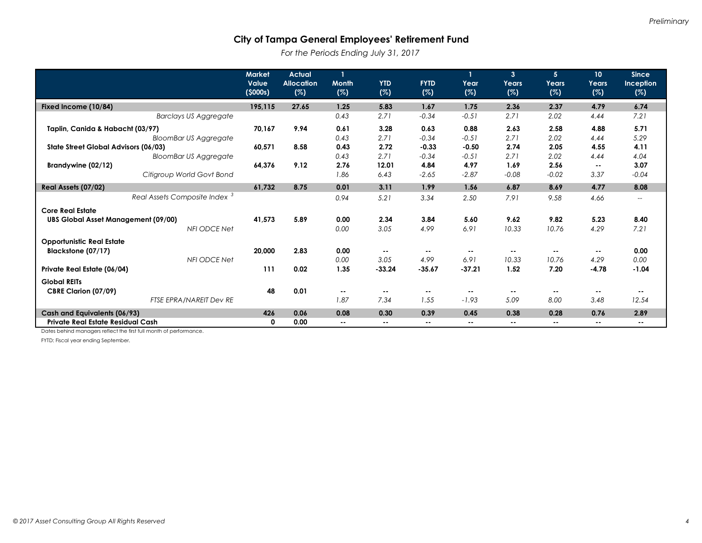*For the Periods Ending July 31, 2017*

|                                            | <b>Market</b><br>Value<br>(5000s) | <b>Actual</b><br><b>Allocation</b><br>(%) | <b>Month</b><br>(%) | <b>YTD</b><br>(%) | <b>FYTD</b><br>(%) | Year<br>(%)              | $\mathbf{3}$<br>Years<br>(%) | 5<br>Years<br>(%) | 10 <sup>°</sup><br>Years<br>(%) | <b>Since</b><br>Inception<br>(%)                    |
|--------------------------------------------|-----------------------------------|-------------------------------------------|---------------------|-------------------|--------------------|--------------------------|------------------------------|-------------------|---------------------------------|-----------------------------------------------------|
| Fixed Income (10/84)                       | 195,115                           | 27.65                                     | 1.25                | 5.83              | 1.67               | 1.75                     | 2.36                         | 2.37              | 4.79                            | 6.74                                                |
| <b>Barclays US Aggregate</b>               |                                   |                                           | 0.43                | 2.71              | $-0.34$            | $-0.51$                  | 2.71                         | 2.02              | 4.44                            | 7.21                                                |
| Taplin, Canida & Habacht (03/97)           | 70.167                            | 9.94                                      | 0.61                | 3.28              | 0.63               | 0.88                     | 2.63                         | 2.58              | 4.88                            | 5.71                                                |
| <b>BloomBar US Aggregate</b>               |                                   |                                           | 0.43                | 2.71              | $-0.34$            | $-0.51$                  | 2.71                         | 2.02              | 4.44                            | 5.29                                                |
| State Street Global Advisors (06/03)       | 60,571                            | 8.58                                      | 0.43                | 2.72              | $-0.33$            | $-0.50$                  | 2.74                         | 2.05              | 4.55                            | 4.11                                                |
| <b>BloomBar US Aggregate</b>               |                                   |                                           | 0.43                | 2.71              | $-0.34$            | $-0.51$                  | 2.71                         | 2.02              | 4.44                            | 4.04                                                |
| Brandywine (02/12)                         | 64,376                            | 9.12                                      | 2.76                | 12.01             | 4.84               | 4.97                     | 1.69                         | 2.56              | $\sim$ $\sim$                   | 3.07                                                |
| Citigroup World Govt Bond                  |                                   |                                           | 1.86                | 6.43              | $-2.65$            | $-2.87$                  | $-0.08$                      | $-0.02$           | 3.37                            | $-0.04$                                             |
| Real Assets (07/02)                        | 61,732                            | 8.75                                      | 0.01                | 3.11              | 1.99               | 1.56                     | 6.87                         | 8.69              | 4.77                            | 8.08                                                |
| Real Assets Composite Index <sup>3</sup>   |                                   |                                           | 0.94                | 5.21              | 3.34               | 2.50                     | 7.91                         | 9.58              | 4.66                            | $\hspace{0.05cm} -\hspace{0.05cm} -\hspace{0.05cm}$ |
| <b>Core Real Estate</b>                    |                                   |                                           |                     |                   |                    |                          |                              |                   |                                 |                                                     |
| <b>UBS Global Asset Management (09/00)</b> | 41,573                            | 5.89                                      | 0.00                | 2.34              | 3.84               | 5.60                     | 9.62                         | 9.82              | 5.23                            | 8.40                                                |
| <b>NFI ODCE Net</b>                        |                                   |                                           | 0.00                | 3.05              | 4.99               | 6.91                     | 10.33                        | 10.76             | 4.29                            | 7.21                                                |
| <b>Opportunistic Real Estate</b>           |                                   |                                           |                     |                   |                    |                          |                              |                   |                                 |                                                     |
| Blackstone (07/17)                         | 20,000                            | 2.83                                      | 0.00                | $\sim$            | $\sim$ $\sim$      | $\sim$ $\sim$            | $\sim$ $-$                   | ٠.                | ۰.                              | 0.00                                                |
| <b>NFI ODCE Net</b>                        |                                   |                                           | 0.00                | 3.05              | 4.99               | 6.91                     | 10.33                        | 10.76             | 4.29                            | 0.00                                                |
| Private Real Estate (06/04)                | 111                               | 0.02                                      | 1.35                | $-33.24$          | $-35.67$           | $-37.21$                 | 1.52                         | 7.20              | $-4.78$                         | $-1.04$                                             |
| <b>Global REITs</b>                        |                                   |                                           |                     |                   |                    |                          |                              |                   |                                 |                                                     |
| CBRE Clarion (07/09)                       | 48                                | 0.01                                      | $\sim$ $-$          | $\sim$ $\sim$     | $\sim$ $\sim$      | $\sim$                   | --                           | ٠.                | --                              |                                                     |
| <b>FTSE EPRA/NAREIT Dev RE</b>             |                                   |                                           | 1.87                | 7.34              | 1.55               | $-1.93$                  | 5.09                         | 8.00              | 3.48                            | 12.54                                               |
| Cash and Equivalents (06/93)               | 426                               | 0.06                                      | 0.08                | 0.30              | 0.39               | 0.45                     | 0.38                         | 0.28              | 0.76                            | 2.89                                                |
| Private Real Estate Residual Cash          | 0                                 | 0.00                                      | $\sim$ $-$          | $\sim$ $-$        | $\sim$             | $\overline{\phantom{a}}$ | $\sim$                       | --                | $\sim$ $-$                      | $\overline{\phantom{a}}$                            |

Dates behind managers reflect the first full month of performance.

FYTD: Fiscal year ending September.